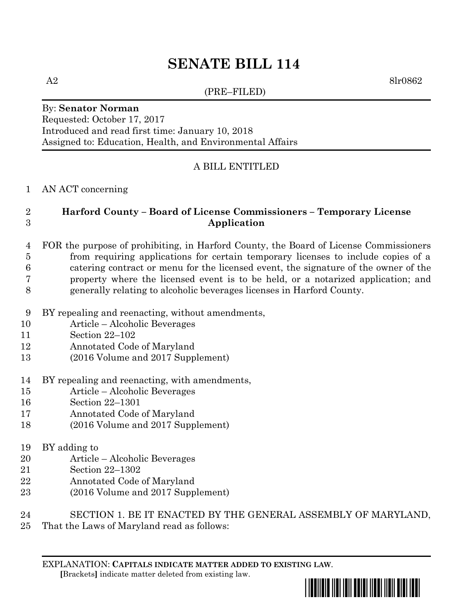# **SENATE BILL 114**

(PRE–FILED)

A2 8lr0862

### By: **Senator Norman** Requested: October 17, 2017 Introduced and read first time: January 10, 2018 Assigned to: Education, Health, and Environmental Affairs

# A BILL ENTITLED

#### AN ACT concerning

# **Harford County – Board of License Commissioners – Temporary License Application**

## FOR the purpose of prohibiting, in Harford County, the Board of License Commissioners from requiring applications for certain temporary licenses to include copies of a catering contract or menu for the licensed event, the signature of the owner of the property where the licensed event is to be held, or a notarized application; and generally relating to alcoholic beverages licenses in Harford County.

- BY repealing and reenacting, without amendments,
- Article Alcoholic Beverages
- Section 22–102
- Annotated Code of Maryland
- (2016 Volume and 2017 Supplement)
- BY repealing and reenacting, with amendments,
- Article Alcoholic Beverages
- Section 22–1301
- Annotated Code of Maryland
- (2016 Volume and 2017 Supplement)

### BY adding to

- Article Alcoholic Beverages
- Section 22–1302
- Annotated Code of Maryland
- (2016 Volume and 2017 Supplement)
- SECTION 1. BE IT ENACTED BY THE GENERAL ASSEMBLY OF MARYLAND,
- That the Laws of Maryland read as follows:

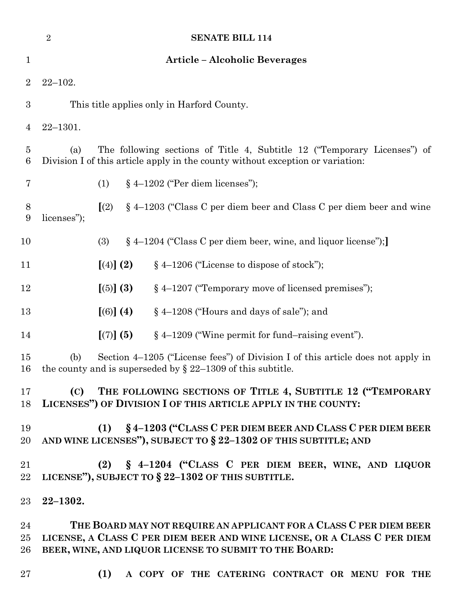|                     | <b>SENATE BILL 114</b><br>$\overline{2}$                                                                                                                                                                 |                                             |                                                                        |  |
|---------------------|----------------------------------------------------------------------------------------------------------------------------------------------------------------------------------------------------------|---------------------------------------------|------------------------------------------------------------------------|--|
| $\mathbf 1$         | <b>Article – Alcoholic Beverages</b>                                                                                                                                                                     |                                             |                                                                        |  |
| $\overline{2}$      | $22 - 102.$                                                                                                                                                                                              |                                             |                                                                        |  |
| 3                   | This title applies only in Harford County.                                                                                                                                                               |                                             |                                                                        |  |
| $\overline{4}$      | $22 - 1301.$                                                                                                                                                                                             |                                             |                                                                        |  |
| $\overline{5}$<br>6 | The following sections of Title 4, Subtitle 12 ("Temporary Licenses") of<br>(a)<br>Division I of this article apply in the county without exception or variation:                                        |                                             |                                                                        |  |
| 7                   | $§$ 4-1202 ("Per diem licenses");<br>(1)                                                                                                                                                                 |                                             |                                                                        |  |
| 8<br>9              | licenses");                                                                                                                                                                                              | (2)                                         | $\S$ 4–1203 ("Class C per diem beer and Class C per diem beer and wine |  |
| 10                  |                                                                                                                                                                                                          | (3)                                         | § 4–1204 ("Class C per diem beer, wine, and liquor license");          |  |
| 11                  |                                                                                                                                                                                                          | [ (4) ] (2)                                 | $§$ 4-1206 ("License to dispose of stock");                            |  |
| 12                  |                                                                                                                                                                                                          | $\left[\left(5\right)\right]\left(3\right)$ | § 4-1207 ("Temporary move of licensed premises");                      |  |
| 13                  |                                                                                                                                                                                                          | [(6)] (4)                                   | § 4-1208 ("Hours and days of sale"); and                               |  |
| 14                  |                                                                                                                                                                                                          | $[(7)]$ $(5)$                               | $§$ 4–1209 ("Wine permit for fund–raising event").                     |  |
| 15<br>16            | Section 4-1205 ("License fees") of Division I of this article does not apply in<br>(b)<br>the county and is superseded by $\S$ 22–1309 of this subtitle.                                                 |                                             |                                                                        |  |
| $17 \,$<br>18       | (C) THE FOLLOWING SECTIONS OF TITLE 4, SUBTITLE 12 ("TEMPORARY<br>LICENSES") OF DIVISION I OF THIS ARTICLE APPLY IN THE COUNTY:                                                                          |                                             |                                                                        |  |
| 19<br>20            | (1) § 4-1203 ("CLASS C PER DIEM BEER AND CLASS C PER DIEM BEER<br>AND WINE LICENSES"), SUBJECT TO $\S 22-1302$ OF THIS SUBTITLE; AND                                                                     |                                             |                                                                        |  |
| 21<br>22            | (2) § 4-1204 ("CLASS C PER DIEM BEER, WINE, AND LIQUOR<br>LICENSE"), SUBJECT TO § 22-1302 OF THIS SUBTITLE.                                                                                              |                                             |                                                                        |  |
| $23\,$              | $22 - 1302.$                                                                                                                                                                                             |                                             |                                                                        |  |
| 24<br>25<br>26      | THE BOARD MAY NOT REQUIRE AN APPLICANT FOR A CLASS C PER DIEM BEER<br>LICENSE, A CLASS C PER DIEM BEER AND WINE LICENSE, OR A CLASS C PER DIEM<br>BEER, WINE, AND LIQUOR LICENSE TO SUBMIT TO THE BOARD: |                                             |                                                                        |  |
| $27\,$              |                                                                                                                                                                                                          | (1)                                         | A COPY OF THE CATERING CONTRACT OR MENU FOR THE                        |  |